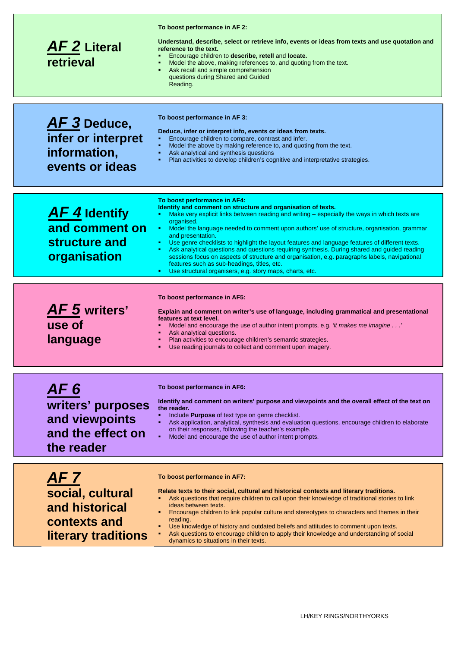| <b>AF2</b> Literal<br>retrieval                                                | To boost performance in AF 2:<br>Understand, describe, select or retrieve info, events or ideas from texts and use quotation and<br>reference to the text.<br>Encourage children to describe, retell and locate.<br>Model the above, making references to, and quoting from the text.<br>Ask recall and simple comprehension<br>questions during Shared and Guided<br>Reading.                                                                                                                                                                                                                                                                                                                                                                        |
|--------------------------------------------------------------------------------|-------------------------------------------------------------------------------------------------------------------------------------------------------------------------------------------------------------------------------------------------------------------------------------------------------------------------------------------------------------------------------------------------------------------------------------------------------------------------------------------------------------------------------------------------------------------------------------------------------------------------------------------------------------------------------------------------------------------------------------------------------|
| AF 3 Deduce,<br>infer or interpret<br>information,<br>events or ideas          | To boost performance in AF 3:<br>Deduce, infer or interpret info, events or ideas from texts.<br>Encourage children to compare, contrast and infer.<br>Model the above by making reference to, and quoting from the text.<br>Ask analytical and synthesis questions<br>Plan activities to develop children's cognitive and interpretative strategies.                                                                                                                                                                                                                                                                                                                                                                                                 |
| <b>AF4</b> Identify<br>and comment on<br>structure and<br>organisation         | To boost performance in AF4:<br>Identify and comment on structure and organisation of texts.<br>Make very explicit links between reading and writing – especially the ways in which texts are<br>m.<br>organised.<br>• Model the language needed to comment upon authors' use of structure, organisation, grammar<br>and presentation.<br>Use genre checklists to highlight the layout features and language features of different texts.<br>Ask analytical questions and questions requiring synthesis. During shared and guided reading<br>sessions focus on aspects of structure and organisation, e.g. paragraphs labels, navigational<br>features such as sub-headings, titles, etc.<br>Use structural organisers, e.g. story maps, charts, etc. |
|                                                                                |                                                                                                                                                                                                                                                                                                                                                                                                                                                                                                                                                                                                                                                                                                                                                       |
| AF 5 writers'<br>use of<br>language                                            | To boost performance in AF5:<br>Explain and comment on writer's use of language, including grammatical and presentational<br>features at text level.<br>Model and encourage the use of author intent prompts, e.g. 'it makes me imagine'<br>Ask analytical questions.<br>Plan activities to encourage children's semantic strategies.<br>Use reading journals to collect and comment upon imagery.                                                                                                                                                                                                                                                                                                                                                    |
| AF 6<br>writers' purposes<br>and viewpoints<br>and the effect on<br>the reader | To boost performance in AF6:<br>Identify and comment on writers' purpose and viewpoints and the overall effect of the text on<br>the reader.<br>Include <b>Purpose</b> of text type on genre checklist.<br>Ask application, analytical, synthesis and evaluation questions, encourage children to elaborate<br>on their responses, following the teacher's example.<br>Model and encourage the use of author intent prompts.                                                                                                                                                                                                                                                                                                                          |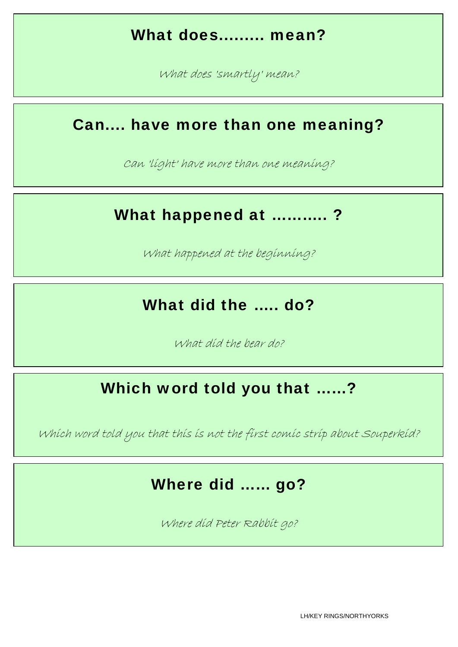## What does......... mean?

What does 'smartly' mean?

#### Can.... have more than one meaning?

Can 'light' have more than one meaning?

#### What happened at ...........?

What happened at the beginning?

#### What did the ..... do?

What did the bear do?

#### Which word told you that ……?

Which word told you that this is not the first comic strip about Souperkid?

#### Where did …… go?

Where did Peter Rabbit go?

LH/KEY RINGS/NORTHYORKS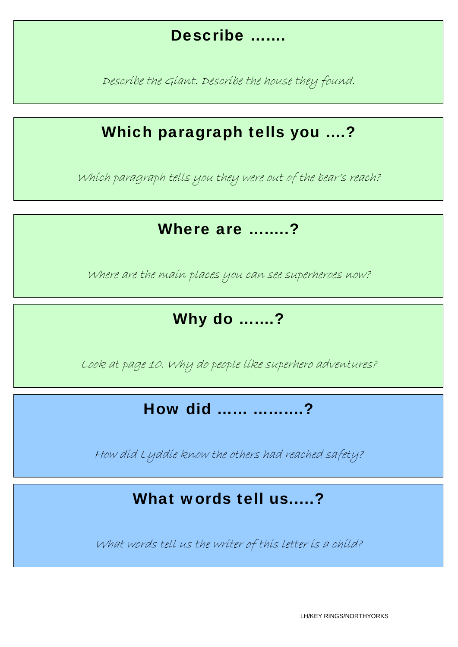#### Describe …….

Describe the Giant. Describe the house they found.

## Which paragraph tells you ….?

Which paragraph tells you they were out of the bear's reach?

#### Where are …….?

Where are the main places you can see superheroes now?

# Why do …….?

Look at page 10. Why do people like superhero adventures?

How did …… ……….?

How did Lyddie know the others had reached safety?

#### What words tell us.....?

What words tell us the writer of this letter is a child?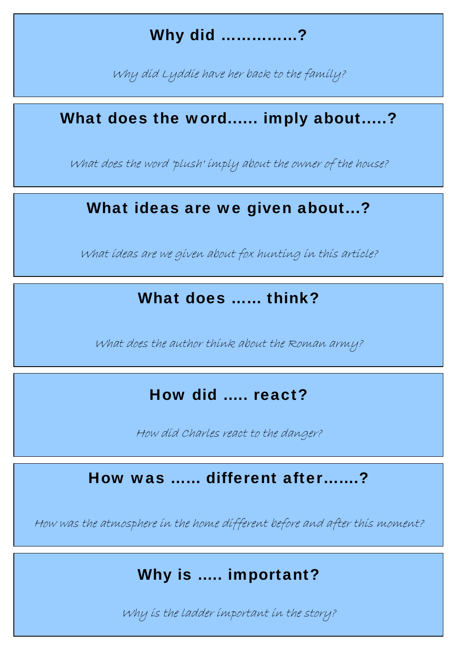## Why did ……………?

Why did Lyddie have her back to the family?

#### What does the word...... imply about.....?

What does the word 'plush' imply about the owner of the house?

## What ideas are we given about...?

What ideas are we given about fox hunting in this article?

#### What does …… think?

What does the author think about the Roman army?

## How did ….. react?

How did Charles react to the danger?

## How was …… different after…….?

How was the atmosphere in the home different before and after this moment?

## Why is ..... important?

Why is the ladder important in the story? The story of the ladder important in the story?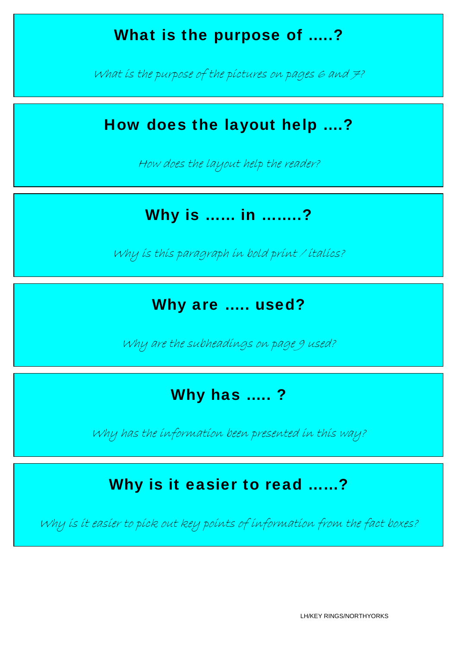## What is the purpose of .....?

What is the purpose of the pictures on pages 6 and  $\neq$ ?

## How does the layout help ….?

How does the layout help the reader?

#### Why is …… in ……..?

Why is this paragraph in bold print / italics?

#### Why are ..... used?

Why are the subheadings on page 9 used?

## Why has .....?

Why has the information been presented in this way?

## Why is it easier to read ……?

Why is it easier to pick out key points of information from the fact boxes?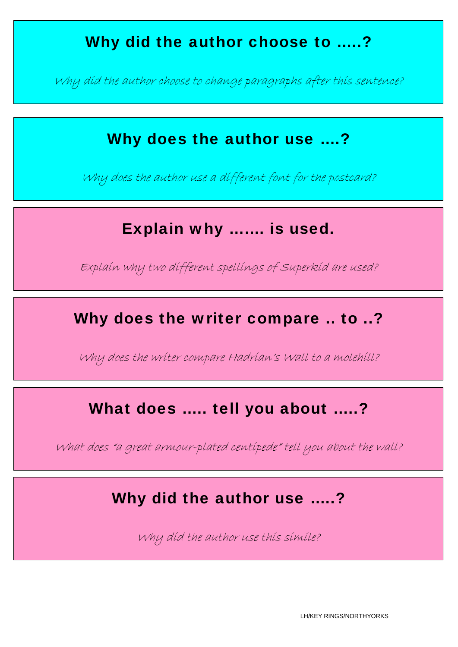## Why did the author choose to .....?

Why did the author choose to change paragraphs after this sentence?

## Why does the author use ....?

Why does the author use a different font for the postcard?

## Explain why ……. is used.

Explain why two different spellings of Superkid are used?

## Why does the writer compare .. to ..?

Why does the writer compare Hadrian's Wall to a molehill?

#### What does ….. tell you about …..?

What does "a great armour-plated centipede" tell you about the wall?

#### Why did the author use .....?

Why did the author use this simile?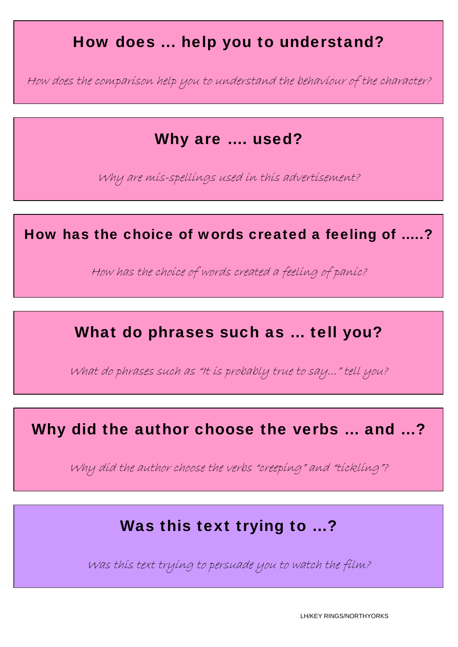## How does ... help you to understand?

How does the comparison help you to understand the behaviour of the character?

#### Why are …. used?

Why are mis-spellings used in this advertisement?

How has the choice of words created a feeling of …..?

How has the choice of words created a feeling of panic?

#### What do phrases such as ... tell you?

What do phrases such as "It is probably true to say..." tell you?

## Why did the author choose the verbs … and …?

Why did the author choose the verbs "creeping" and "tickling"?

## Was this text trying to ...?

Was this text trying to persuade you to watch the film?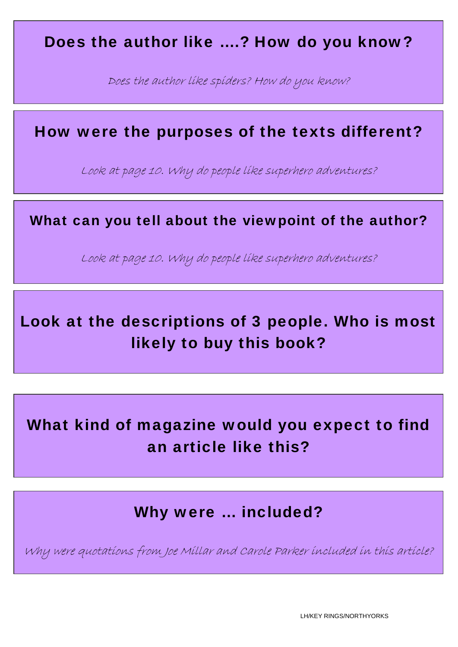#### Does the author like ….? How do you know?

Does the author like spiders? How do you know?

#### How were the purposes of the texts different?

Look at page 10. Why do people like superhero adventures?

#### What can you tell about the viewpoint of the author?

Look at page 10. Why do people like superhero adventures?

# Look at the descriptions of 3 people. Who is most likely to buy this book?

# What kind of magazine would you expect to find an article like this?

Why were … included?

Why were quotations from Joe Millar and Carole Parker included in this article?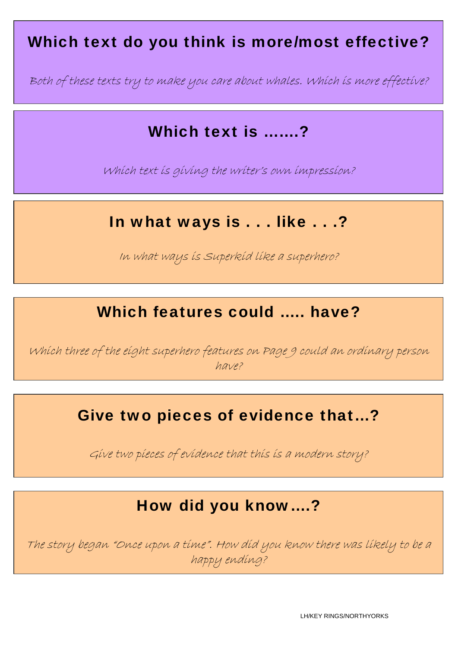## Which text do you think is more/most effective?

Both of these texts try to make you care about whales. Which is more effective?

## Which text is ……?

Which text is giving the writer's own impression?

#### In what ways is . . . like . . .?

In what ways is Superkid like a superhero?

## Which features could ..... have?

Which three of the eight superhero features on Page 9 could an ordinary person have?

## Give two pieces of evidence that…?

Give two pieces of evidence that this is a modern story?

## How did you know….?

The story began "Once upon a time". How did you know there was likely to be a happy ending?

LH/KEY RINGS/NORTHYORKS